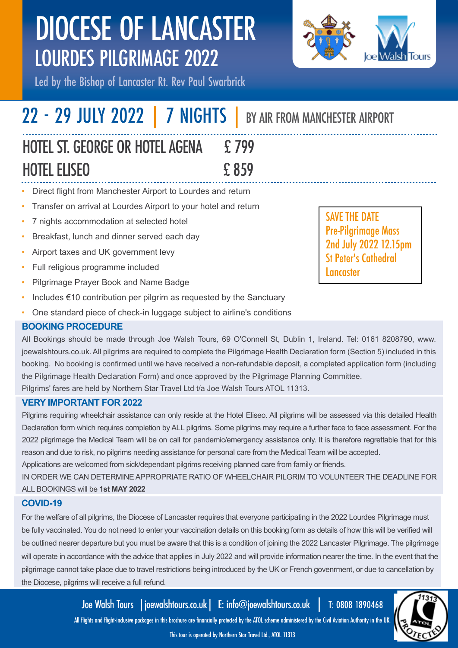

Led by the Bishop of Lancaster Rt. Rev Paul Swarbrick

# 22 - 29 JULY 2022 | 7 NIGHTS | BY AIR FROM MANCHESTER AIRPORT

# HOTEL ST. GEORGE OR HOTEL AGENA £ 799 HOTEL ELISEO £ 859

- Direct flight from Manchester Airport to Lourdes and return
- Transfer on arrival at Lourdes Airport to your hotel and return
- 7 nights accommodation at selected hotel
- Breakfast, lunch and dinner served each day
- Airport taxes and UK government levy
- Full religious programme included
- Pilgrimage Prayer Book and Name Badge
- Includes €10 contribution per pilgrim as requested by the Sanctuary
- One standard piece of check-in luggage subject to airline's conditions

# **BOOKING PROCEDURE**

All Bookings should be made through Joe Walsh Tours, 69 O'Connell St, Dublin 1, Ireland. Tel: 0161 8208790, www. joewalshtours.co.uk. All pilgrims are required to complete the Pilgrimage Health Declaration form (Section 5) included in this booking. No booking is confirmed until we have received a non-refundable deposit, a completed application form (including the Pilgrimage Health Declaration Form) and once approved by the Pilgrimage Planning Committee. Pilgrims' fares are held by Northern Star Travel Ltd t/a Joe Walsh Tours ATOL 11313.

# **VERY IMPORTANT FOR 2022**

Pilgrims requiring wheelchair assistance can only reside at the Hotel Eliseo. All pilgrims will be assessed via this detailed Health Declaration form which requires completion by ALL pilgrims. Some pilgrims may require a further face to face assessment. For the 2022 pilgrimage the Medical Team will be on call for pandemic/emergency assistance only. It is therefore regrettable that for this reason and due to risk, no pilgrims needing assistance for personal care from the Medical Team will be accepted.

Applications are welcomed from sick/dependant pilgrims receiving planned care from family or friends.

IN ORDER WE CAN DETERMINE APPROPRIATE RATIO OF WHEELCHAIR PILGRIM TO VOLUNTEER THE DEADLINE FOR ALL BOOKINGS will be **1st MAY 2022**

# **COVID-19**

For the welfare of all pilgrims, the Diocese of Lancaster requires that everyone participating in the 2022 Lourdes Pilgrimage must be fully vaccinated. You do not need to enter your vaccination details on this booking form as details of how this will be verified will be outlined nearer departure but you must be aware that this is a condition of joining the 2022 Lancaster Pilgrimage. The pilgrimage will operate in accordance with the advice that applies in July 2022 and will provide information nearer the time. In the event that the pilgrimage cannot take place due to travel restrictions being introduced by the UK or French govenrment, or due to cancellation by the Diocese, pilgrims will receive a full refund.

Joe Walsh Tours |joewalshtours.co.uk| E: info@joewalshtours.co.uk | T: 0808 1890468

All flights and flight-inclusive packages in this brochure are financially protected by the ATOL scheme administered by the Civil Aviation Authority in the UK.

### This tour is operated by Northern Star Travel Ltd., ATOL 11313 1

SAVE THE DATE Pre-Pilgrimage Mass 2nd July 2022 12.15pm St Peter's Cathedral **Lancaster**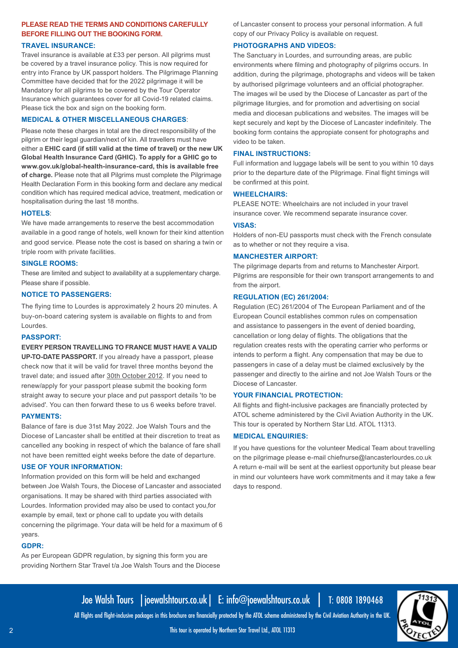### **PLEASE READ THE TERMS AND CONDITIONS CAREFULLY BEFORE FILLING OUT THE BOOKING FORM.**

### **TRAVEL INSURANCE:**

Travel insurance is available at £33 per person. All pilgrims must be covered by a travel insurance policy. This is now required for entry into France by UK passport holders. The Pilgrimage Planning Committee have decided that for the 2022 pilgrimage it will be Mandatory for all pilgrims to be covered by the Tour Operator Insurance which guarantees cover for all Covid-19 related claims. Please tick the box and sign on the booking form.

### **MEDICAL & OTHER MISCELLANEOUS CHARGES**:

Please note these charges in total are the direct responsibility of the pilgrim or their legal guardian/next of kin. All travellers must have either a **EHIC card (if still valid at the time of travel) or the new UK Global Health Insurance Card (GHIC). To apply for a GHIC go to www.gov.uk/global-health-insurance-card, this is available free of charge.** Please note that all Pilgrims must complete the Pilgrimage Health Declaration Form in this booking form and declare any medical condition which has required medical advice, treatment, medication or hospitalisation during the last 18 months.

#### **HOTELS**:

We have made arrangements to reserve the best accommodation available in a good range of hotels, well known for their kind attention and good service. Please note the cost is based on sharing a twin or triple room with private facilities.

#### **SINGLE ROOMS:**

These are limited and subject to availability at a supplementary charge. Please share if possible.

### **NOTICE TO PASSENGERS:**

The flying time to Lourdes is approximately 2 hours 20 minutes. A buy-on-board catering system is available on flights to and from Lourdes.

#### **PASSPORT:**

**EVERY PERSON TRAVELLING TO FRANCE MUST HAVE A VALID UP-TO-DATE PASSPORT.** If you already have a passport, please check now that it will be valid for travel three months beyond the travel date; and issued after 30th October 2012. If you need to renew/apply for your passport please submit the booking form straight away to secure your place and put passport details 'to be advised'. You can then forward these to us 6 weeks before travel.

#### **PAYMENTS:**

Balance of fare is due 31st May 2022. Joe Walsh Tours and the Diocese of Lancaster shall be entitled at their discretion to treat as cancelled any booking in respect of which the balance of fare shall not have been remitted eight weeks before the date of departure.

### **USE OF YOUR INFORMATION:**

Information provided on this form will be held and exchanged between Joe Walsh Tours, the Diocese of Lancaster and associated organisations. It may be shared with third parties associated with Lourdes. Information provided may also be used to contact you,for example by email, text or phone call to update you with details concerning the pilgrimage. Your data will be held for a maximum of 6 years.

### **GDPR:**

As per European GDPR regulation, by signing this form you are providing Northern Star Travel t/a Joe Walsh Tours and the Diocese of Lancaster consent to process your personal information. A full copy of our Privacy Policy is available on request.

### **PHOTOGRAPHS AND VIDEOS:**

The Sanctuary in Lourdes, and surrounding areas, are public environments where filming and photography of pilgrims occurs. In addition, during the pilgrimage, photographs and videos will be taken by authorised pilgrimage volunteers and an official photographer. The images wil be used by the Diocese of Lancaster as part of the pilgrimage liturgies, and for promotion and advertising on social media and diocesan publications and websites. The images will be kept securely and kept by the Diocese of Lancaster indefinitely. The booking form contains the appropiate consent for photographs and video to be taken.

### **FINAL INSTRUCTIONS:**

Full information and luggage labels will be sent to you within 10 days prior to the departure date of the Pilgrimage. Final flight timings will be confirmed at this point.

#### **WHEELCHAIRS:**

PLEASE NOTE: Wheelchairs are not included in your travel insurance cover. We recommend separate insurance cover.

#### **VISAS:**

Holders of non-EU passports must check with the French consulate as to whether or not they require a visa.

#### **MANCHESTER AIRPORT:**

The pilgrimage departs from and returns to Manchester Airport. Pilgrims are responsible for their own transport arrangements to and from the airport.

### **REGULATION (EC) 261/2004:**

Regulation (EC) 261/2004 of The European Parliament and of the European Council establishes common rules on compensation and assistance to passengers in the event of denied boarding, cancellation or long delay of flights. The obligations that the regulation creates rests with the operating carrier who performs or intends to perform a flight. Any compensation that may be due to passengers in case of a delay must be claimed exclusively by the passenger and directly to the airline and not Joe Walsh Tours or the Diocese of Lancaster.

### **YOUR FINANCIAL PROTECTION:**

All flights and flight-inclusive packages are financially protected by ATOL scheme administered by the Civil Aviation Authority in the UK. This tour is operated by Northern Star Ltd. ATOL 11313.

### **MEDICAL ENQUIRIES:**

If you have questions for the volunteer Medical Team about travelling on the pilgrimage please e-mail chiefnurse@lancasterlourdes.co.uk A return e-mail will be sent at the earliest opportunity but please bear in mind our volunteers have work commitments and it may take a few days to respond.



Joe Walsh Tours |joewalshtours.co.uk| E: info@joewalshtours.co.uk | T: 0808 1890468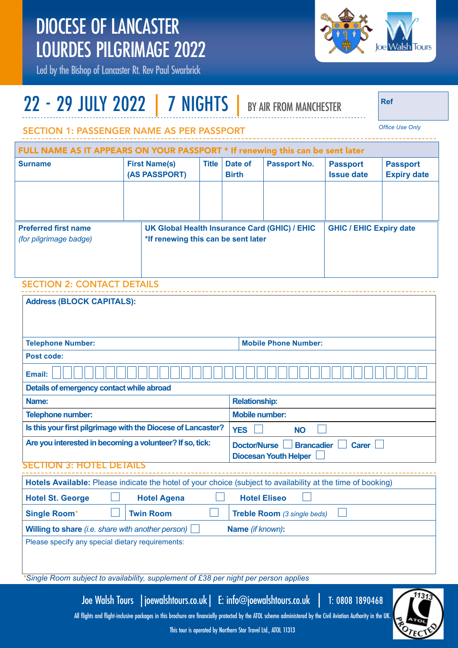

Led by the Bishop of Lancaster Rt. Rev Paul Swarbrick

# 22 - 29 JULY 2022 | 7 NIGHTS | BY AIR FROM MANCHESTER

**Ref**

*Office Use Only*

. . . . . . . . . . . . . .

### SECTION 1: PASSENGER NAME AS PER PASSPORT

| FULL NAME AS IT APPEARS ON YOUR PASSPORT * If renewing this can be sent later |  |                                       |                                                                                      |                         |              |                                      |                                       |
|-------------------------------------------------------------------------------|--|---------------------------------------|--------------------------------------------------------------------------------------|-------------------------|--------------|--------------------------------------|---------------------------------------|
| <b>Surname</b>                                                                |  | <b>First Name(s)</b><br>(AS PASSPORT) | <b>Title</b>                                                                         | Date of<br><b>Birth</b> | Passport No. | <b>Passport</b><br><b>Issue date</b> | <b>Passport</b><br><b>Expiry date</b> |
| <b>Preferred first name</b><br>(for pilgrimage badge)                         |  |                                       | UK Global Health Insurance Card (GHIC) / EHIC<br>*If renewing this can be sent later |                         |              | <b>GHIC / EHIC Expiry date</b>       |                                       |
| SECTION 2. CONTACT DETAILS                                                    |  |                                       |                                                                                      |                         |              |                                      |                                       |

# SECTION 2: CONTACT DETAILS

| <b>Address (BLOCK CAPITALS):</b>                                                                            |                                                          |  |  |  |
|-------------------------------------------------------------------------------------------------------------|----------------------------------------------------------|--|--|--|
|                                                                                                             |                                                          |  |  |  |
| <b>Telephone Number:</b>                                                                                    | <b>Mobile Phone Number:</b>                              |  |  |  |
|                                                                                                             |                                                          |  |  |  |
| Post code:                                                                                                  |                                                          |  |  |  |
| Email:                                                                                                      |                                                          |  |  |  |
| Details of emergency contact while abroad                                                                   |                                                          |  |  |  |
| Name:                                                                                                       | <b>Relationship:</b>                                     |  |  |  |
| Telephone number:                                                                                           | <b>Mobile number:</b>                                    |  |  |  |
| Is this your first pilgrimage with the Diocese of Lancaster?                                                | <b>YES</b><br><b>NO</b>                                  |  |  |  |
| Are you interested in becoming a volunteer? If so, tick:                                                    | <b>Doctor/Nurse</b><br><b>Brancadier</b><br><b>Carer</b> |  |  |  |
|                                                                                                             | <b>Diocesan Youth Helper</b>                             |  |  |  |
| <b>SECTION</b><br>3: HO<br>DE IA                                                                            |                                                          |  |  |  |
| Hotels Available: Please indicate the hotel of your choice (subject to availability at the time of booking) |                                                          |  |  |  |
| <b>Hotel Agena</b><br><b>Hotel St. George</b>                                                               | <b>Hotel Eliseo</b>                                      |  |  |  |
| <b>Single Room*</b><br><b>Twin Room</b>                                                                     | Treble Room (3 single beds)                              |  |  |  |
| Willing to share (i.e. share with another person)<br>Name (if known):                                       |                                                          |  |  |  |
| Please specify any special dietary requirements:                                                            |                                                          |  |  |  |
|                                                                                                             |                                                          |  |  |  |
|                                                                                                             |                                                          |  |  |  |
| *Single Room subject to availability, supplement of £38 per night per person applies                        |                                                          |  |  |  |

Joe Walsh Tours |joewalshtours.co.uk| E: info@joewalshtours.co.uk | T: 0808 1890468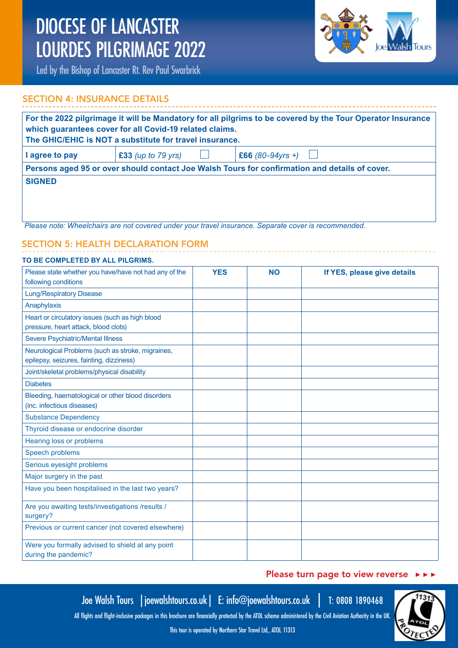

Led by the Bishop of Lancaster Rt. Rev Paul Swarbrick

# SECTION 4: INSURANCE DETAILS

| For the 2022 pilgrimage it will be Mandatory for all pilgrims to be covered by the Tour Operator Insurance<br>which guarantees cover for all Covid-19 related claims.<br>The GHIC/EHIC is NOT a substitute for travel insurance. |                      |                                                                                                      |  |  |
|----------------------------------------------------------------------------------------------------------------------------------------------------------------------------------------------------------------------------------|----------------------|------------------------------------------------------------------------------------------------------|--|--|
| I agree to pay                                                                                                                                                                                                                   | $£33$ (up to 79 yrs) | £66 $(80-94yrs + )$                                                                                  |  |  |
| Persons aged 95 or over should contact Joe Walsh Tours for confirmation and details of cover.                                                                                                                                    |                      |                                                                                                      |  |  |
| <b>SIGNED</b>                                                                                                                                                                                                                    |                      |                                                                                                      |  |  |
|                                                                                                                                                                                                                                  |                      | Please note: Wheelchairs are not covered under your travel insurance. Separate cover is recommended. |  |  |

# SECTION 5: HEALTH DECLARATION FORM

| TO BE COMPLETED BY ALL PILGRIMS.                                         |            |           |                             |
|--------------------------------------------------------------------------|------------|-----------|-----------------------------|
| Please state whether you have/have not had any of the                    | <b>YES</b> | <b>NO</b> | If YES, please give details |
| following conditions                                                     |            |           |                             |
| <b>Lung/Respiratory Disease</b>                                          |            |           |                             |
| Anaphylaxis                                                              |            |           |                             |
| Heart or circulatory issues (such as high blood                          |            |           |                             |
| pressure, heart attack, blood clots)                                     |            |           |                             |
| Severe Psychiatric/Mental Illness                                        |            |           |                             |
| Neurological Problems (such as stroke, migraines,                        |            |           |                             |
| epilepsy, seizures, fainting, dizziness)                                 |            |           |                             |
| Joint/skeletal problems/physical disability                              |            |           |                             |
| <b>Diabetes</b>                                                          |            |           |                             |
| Bleeding, haematological or other blood disorders                        |            |           |                             |
| (inc. infectious diseases)                                               |            |           |                             |
| <b>Substance Dependency</b>                                              |            |           |                             |
| Thyroid disease or endocrine disorder                                    |            |           |                             |
| Hearing loss or problems                                                 |            |           |                             |
| Speech problems                                                          |            |           |                             |
| Serious eyesight problems                                                |            |           |                             |
| Major surgery in the past                                                |            |           |                             |
| Have you been hospitalised in the last two years?                        |            |           |                             |
| Are you awaiting tests/investigations /results /                         |            |           |                             |
| surgery?                                                                 |            |           |                             |
| Previous or current cancer (not covered elsewhere)                       |            |           |                             |
| Were you formally advised to shield at any point<br>during the pandemic? |            |           |                             |

## Please turn page to view reverse ▶ ▶ ▶

Joe Walsh Tours |joewalshtours.co.uk| E: info@joewalshtours.co.uk | T: 0808 1890468

12.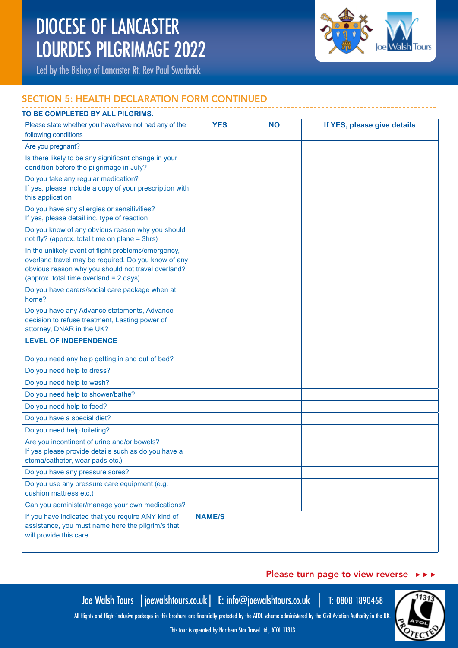

Led by the Bishop of Lancaster Rt. Rev Paul Swarbrick

# SECTION 5: HEALTH DECLARATION FORM CONTINUED

| TO BE COMPLETED BY ALL PILGRIMS.                                                                                                                                                                           |               |           |                             |  |  |
|------------------------------------------------------------------------------------------------------------------------------------------------------------------------------------------------------------|---------------|-----------|-----------------------------|--|--|
| Please state whether you have/have not had any of the<br>following conditions                                                                                                                              | <b>YES</b>    | <b>NO</b> | If YES, please give details |  |  |
| Are you pregnant?                                                                                                                                                                                          |               |           |                             |  |  |
| Is there likely to be any significant change in your<br>condition before the pilgrimage in July?                                                                                                           |               |           |                             |  |  |
| Do you take any regular medication?<br>If yes, please include a copy of your prescription with<br>this application                                                                                         |               |           |                             |  |  |
| Do you have any allergies or sensitivities?<br>If yes, please detail inc. type of reaction                                                                                                                 |               |           |                             |  |  |
| Do you know of any obvious reason why you should<br>not fly? (approx. total time on plane = 3hrs)                                                                                                          |               |           |                             |  |  |
| In the unlikely event of flight problems/emergency,<br>overland travel may be required. Do you know of any<br>obvious reason why you should not travel overland?<br>(approx. total time overland = 2 days) |               |           |                             |  |  |
| Do you have carers/social care package when at<br>home?                                                                                                                                                    |               |           |                             |  |  |
| Do you have any Advance statements, Advance<br>decision to refuse treatment, Lasting power of<br>attorney, DNAR in the UK?                                                                                 |               |           |                             |  |  |
| <b>LEVEL OF INDEPENDENCE</b>                                                                                                                                                                               |               |           |                             |  |  |
| Do you need any help getting in and out of bed?                                                                                                                                                            |               |           |                             |  |  |
| Do you need help to dress?                                                                                                                                                                                 |               |           |                             |  |  |
| Do you need help to wash?                                                                                                                                                                                  |               |           |                             |  |  |
| Do you need help to shower/bathe?                                                                                                                                                                          |               |           |                             |  |  |
| Do you need help to feed?                                                                                                                                                                                  |               |           |                             |  |  |
| Do you have a special diet?                                                                                                                                                                                |               |           |                             |  |  |
| Do you need help toileting?                                                                                                                                                                                |               |           |                             |  |  |
| Are you incontinent of urine and/or bowels?<br>If yes please provide details such as do you have a<br>stoma/catheter, wear pads etc.)                                                                      |               |           |                             |  |  |
| Do you have any pressure sores?                                                                                                                                                                            |               |           |                             |  |  |
| Do you use any pressure care equipment (e.g.<br>cushion mattress etc,)                                                                                                                                     |               |           |                             |  |  |
| Can you administer/manage your own medications?                                                                                                                                                            |               |           |                             |  |  |
| If you have indicated that you require ANY kind of<br>assistance, you must name here the pilgrim/s that<br>will provide this care.                                                                         | <b>NAME/S</b> |           |                             |  |  |

### Please turn page to view reverse ▶ ▶ ▶

12.

Joe Walsh Tours |joewalshtours.co.uk| E: info@joewalshtours.co.uk | T: 0808 1890468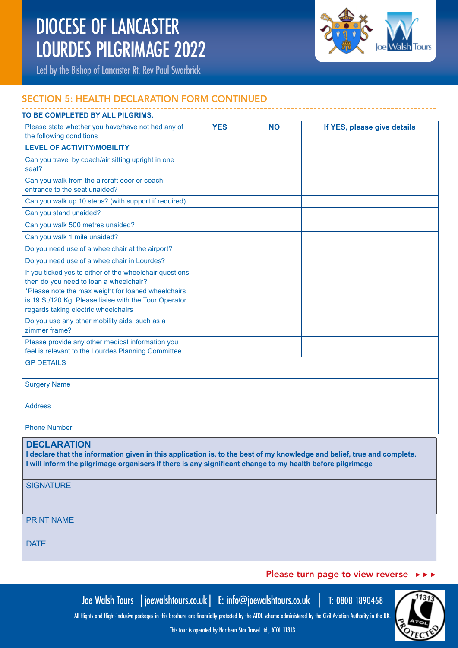

Led by the Bishop of Lancaster Rt. Rev Paul Swarbrick

# SECTION 5: HEALTH DECLARATION FORM CONTINUED

# Please state whether you have/have not had any of the following conditions **YES NO If YES, please give details LEVEL OF ACTIVITY/MOBILITY**  Can you travel by coach/air sitting upright in one seat? Can you walk from the aircraft door or coach entrance to the seat unaided? Can you walk up 10 steps? (with support if required) Can you stand unaided? Can you walk 500 metres unaided? Can you walk 1 mile unaided? Do you need use of a wheelchair at the airport? Do you need use of a wheelchair in Lourdes? If you ticked yes to either of the wheelchair questions then do you need to loan a wheelchair? \*Please note the max weight for loaned wheelchairs is 19 St/120 Kg. Please liaise with the Tour Operator regards taking electric wheelchairs Do you use any other mobility aids, such as a zimmer frame? Please provide any other medical information you feel is relevant to the Lourdes Planning Committee. GP DETAILS Surgery Name Address Phone Number **TO BE COMPLETED BY ALL PILGRIMS.**

### **DECLARATION**

**I declare that the information given in this application is, to the best of my knowledge and belief, true and complete. I will inform the pilgrimage organisers if there is any significant change to my health before pilgrimage**

**SIGNATURE** 

PRINT NAME

**DATE** 

### Please turn page to view reverse  $\rightarrow \rightarrow \rightarrow$

Joe Walsh Tours |joewalshtours.co.uk| E: info@joewalshtours.co.uk | T: 0808 1890468